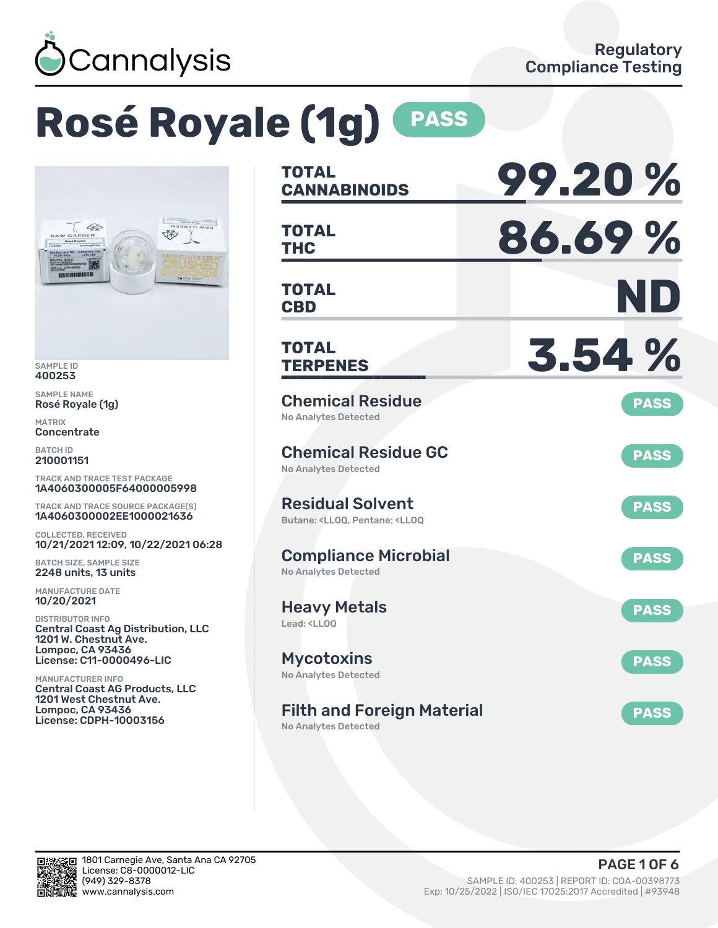

# **Rosé Royale (1g) PASS**



SAMPLE ID 400253

SAMPLE NAME Rosé Royale (1g)

MATRIX **Concentrate** 

BATCH ID 210001151

TRACK AND TRACE TEST PACKAGE 1A4060300005F64000005998

TRACK AND TRACE SOURCE PACKAGE(S) 1A4060300002EE1000021636

COLLECTED, RECEIVED 10/21/2021 12:09, 10/22/2021 06:28

BATCH SIZE, SAMPLE SIZE 2248 units, 13 units

MANUFACTURE DATE 10/20/2021

DISTRIBUTOR INFO Central Coast Ag Distribution, LLC 1201 W. Chestnut Ave. Lompoc, CA 93436 License: C11-0000496-LIC

MANUFACTURER INFO Central Coast AG Products, LLC 1201 West Chestnut Ave. Lompoc, CA 93436 License: CDPH-10003156

| <b>TOTAL</b><br><b>CANNABINOIDS</b>                                                                | 99.20%      |
|----------------------------------------------------------------------------------------------------|-------------|
| <b>TOTAL</b><br><b>THC</b>                                                                         | 86.69%      |
| <b>TOTAL</b><br><b>CBD</b>                                                                         | ND          |
| <b>TOTAL</b><br><b>TERPENES</b>                                                                    | 3.54 %      |
| <b>Chemical Residue</b><br><b>No Analytes Detected</b>                                             | <b>PASS</b> |
| <b>Chemical Residue GC</b><br><b>No Analytes Detected</b>                                          | <b>PASS</b> |
| <b>Residual Solvent</b><br>Butane: <ll00. <ll00<="" pentane:="" td=""><td><b>PASS</b></td></ll00.> | <b>PASS</b> |
| <b>Compliance Microbial</b><br><b>No Analytes Detected</b>                                         | <b>PASS</b> |
| <b>Heavy Metals</b><br>Lead: <ll00< td=""><td><b>PASS</b></td></ll00<>                             | <b>PASS</b> |
| <b>Mycotoxins</b><br>No Analytes Detected                                                          | <b>PASS</b> |
| <b>Filth and Foreign Material</b><br>No Analytes Detected                                          | <b>PASS</b> |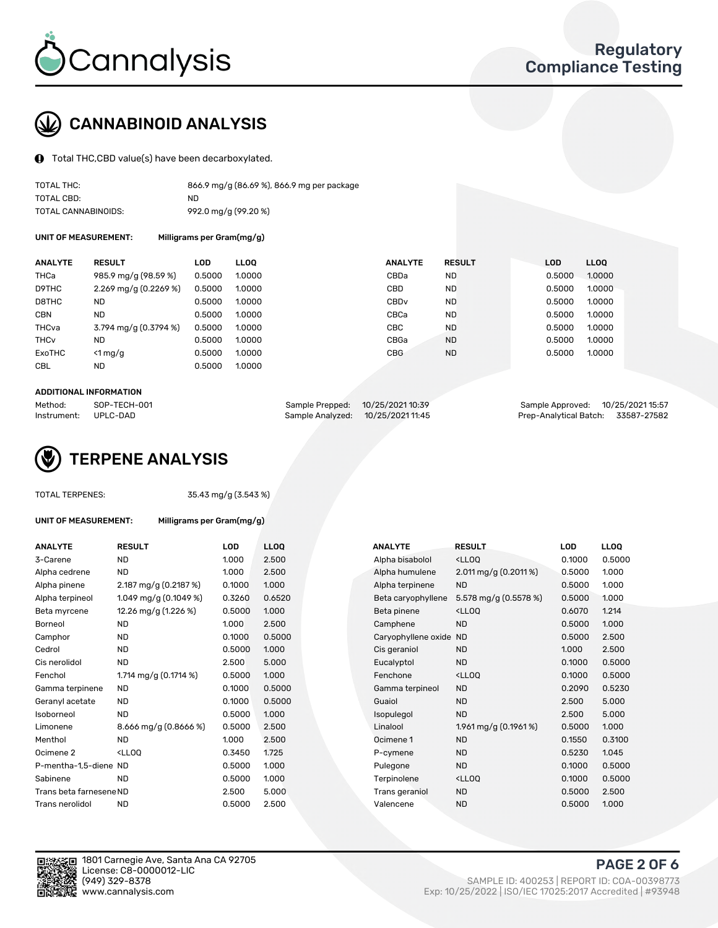

### CANNABINOID ANALYSIS

Total THC,CBD value(s) have been decarboxylated.

| TOTAL THC:          | 866.9 mg/g (86.69 %), 866.9 mg per package |
|---------------------|--------------------------------------------|
| TOTAL CBD:          | ND                                         |
| TOTAL CANNABINOIDS: | 992.0 mg/g (99.20 %)                       |

UNIT OF MEASUREMENT: Milligrams per Gram(mg/g)

| <b>ANALYTE</b>         | <b>RESULT</b>                           | <b>LOD</b> | <b>LLOO</b> | <b>ANALYTE</b>   | <b>RESULT</b> | <b>LOD</b> | <b>LLOQ</b> |
|------------------------|-----------------------------------------|------------|-------------|------------------|---------------|------------|-------------|
| THCa                   | 985.9 mg/g (98.59 %)                    | 0.5000     | 1.0000      | CBDa             | <b>ND</b>     | 0.5000     | 1.0000      |
| D9THC                  | 2.269 mg/g (0.2269 %)                   | 0.5000     | 1.0000      | CBD              | <b>ND</b>     | 0.5000     | 1.0000      |
| D8THC                  | <b>ND</b>                               | 0.5000     | 1.0000      | CBD <sub>v</sub> | <b>ND</b>     | 0.5000     | 1.0000      |
| <b>CBN</b>             | <b>ND</b>                               | 0.5000     | 1.0000      | CBCa             | <b>ND</b>     | 0.5000     | 1.0000      |
| THCva                  | $3.794 \text{ mg/q} (0.3794 \text{ %})$ | 0.5000     | 1.0000      | <b>CBC</b>       | <b>ND</b>     | 0.5000     | 1.0000      |
| <b>THC<sub>v</sub></b> | <b>ND</b>                               | 0.5000     | 1.0000      | CBGa             | <b>ND</b>     | 0.5000     | 1.0000      |
| ExoTHC                 | $<$ 1 mg/g                              | 0.5000     | 1.0000      | <b>CBG</b>       | <b>ND</b>     | 0.5000     | 1.0000      |
| <b>CBL</b>             | <b>ND</b>                               | 0.5000     | 1.0000      |                  |               |            |             |

#### ADDITIONAL INFORMATION

| Method:     | SOP-TECH-001 | Sample Prepped: 10/25/2021 10:39  | Sample Approved: 10/25/2021 15:57  |  |
|-------------|--------------|-----------------------------------|------------------------------------|--|
| Instrument: | UPLC-DAD     | Sample Analyzed: 10/25/2021 11:45 | Prep-Analytical Batch: 33587-27582 |  |



TOTAL TERPENES: 35.43 mg/g (3.543 %)

| UNIT OF MEASUREMENT: | Milligrams per Gram(mg/g) |
|----------------------|---------------------------|
|                      |                           |

| <b>ANALYTE</b>          | <b>RESULT</b>                                                                                                      | <b>LOD</b> | <b>LLOQ</b> | <b>ANALYTE</b>         | <b>RESULT</b>                                       | <b>LOD</b> | <b>LLOQ</b> |
|-------------------------|--------------------------------------------------------------------------------------------------------------------|------------|-------------|------------------------|-----------------------------------------------------|------------|-------------|
| 3-Carene                | <b>ND</b>                                                                                                          | 1.000      | 2.500       | Alpha bisabolol        | <lloq< td=""><td>0.1000</td><td>0.5000</td></lloq<> | 0.1000     | 0.5000      |
| Alpha cedrene           | ND.                                                                                                                | 1.000      | 2.500       | Alpha humulene         | 2.011 mg/g $(0.2011\%)$                             | 0.5000     | 1.000       |
| Alpha pinene            | $2.187 \,\mathrm{mg/g}$ (0.2187 %)                                                                                 | 0.1000     | 1.000       | Alpha terpinene        | <b>ND</b>                                           | 0.5000     | 1.000       |
| Alpha terpineol         | 1.049 mg/g $(0.1049\%)$                                                                                            | 0.3260     | 0.6520      | Beta caryophyllene     | 5.578 mg/g (0.5578 %)                               | 0.5000     | 1.000       |
| Beta myrcene            | 12.26 mg/g (1.226 %)                                                                                               | 0.5000     | 1.000       | Beta pinene            | <lloq< td=""><td>0.6070</td><td>1.214</td></lloq<>  | 0.6070     | 1.214       |
| Borneol                 | <b>ND</b>                                                                                                          | 1.000      | 2.500       | Camphene               | <b>ND</b>                                           | 0.5000     | 1.000       |
| Camphor                 | <b>ND</b>                                                                                                          | 0.1000     | 0.5000      | Caryophyllene oxide ND |                                                     | 0.5000     | 2.500       |
| Cedrol                  | <b>ND</b>                                                                                                          | 0.5000     | 1.000       | Cis geraniol           | <b>ND</b>                                           | 1.000      | 2.500       |
| Cis nerolidol           | <b>ND</b>                                                                                                          | 2.500      | 5.000       | Eucalyptol             | <b>ND</b>                                           | 0.1000     | 0.5000      |
| Fenchol                 | 1.714 mg/g $(0.1714\%)$                                                                                            | 0.5000     | 1.000       | Fenchone               | <lloq< td=""><td>0.1000</td><td>0.5000</td></lloq<> | 0.1000     | 0.5000      |
| Gamma terpinene         | <b>ND</b>                                                                                                          | 0.1000     | 0.5000      | Gamma terpineol        | <b>ND</b>                                           | 0.2090     | 0.5230      |
| Geranyl acetate         | ND.                                                                                                                | 0.1000     | 0.5000      | Guaiol                 | <b>ND</b>                                           | 2.500      | 5.000       |
| Isoborneol              | <b>ND</b>                                                                                                          | 0.5000     | 1.000       | Isopulegol             | <b>ND</b>                                           | 2.500      | 5.000       |
| Limonene                | 8.666 mg/g (0.8666 %)                                                                                              | 0.5000     | 2.500       | Linalool               | 1.961 mg/g $(0.1961\%)$                             | 0.5000     | 1.000       |
| Menthol                 | <b>ND</b>                                                                                                          | 1.000      | 2.500       | Ocimene 1              | <b>ND</b>                                           | 0.1550     | 0.3100      |
| Ocimene 2               | <lloo< td=""><td>0.3450</td><td>1.725</td><td>P-cymene</td><td><b>ND</b></td><td>0.5230</td><td>1.045</td></lloo<> | 0.3450     | 1.725       | P-cymene               | <b>ND</b>                                           | 0.5230     | 1.045       |
| P-mentha-1,5-diene ND   |                                                                                                                    | 0.5000     | 1.000       | Pulegone               | <b>ND</b>                                           | 0.1000     | 0.5000      |
| Sabinene                | <b>ND</b>                                                                                                          | 0.5000     | 1.000       | Terpinolene            | <lloq< td=""><td>0.1000</td><td>0.5000</td></lloq<> | 0.1000     | 0.5000      |
| Trans beta farnesene ND |                                                                                                                    | 2.500      | 5.000       | Trans geraniol         | <b>ND</b>                                           | 0.5000     | 2.500       |
| Trans nerolidol         | <b>ND</b>                                                                                                          | 0.5000     | 2.500       | Valencene              | <b>ND</b>                                           | 0.5000     | 1.000       |
|                         |                                                                                                                    |            |             |                        |                                                     |            |             |

| ANALYTE                 | <b>RESULT</b>                                                                                                      | LOD    | <b>LLOQ</b> | <b>ANALYTE</b>      | RESULT                                              | LOD    | <b>LLOQ</b> |
|-------------------------|--------------------------------------------------------------------------------------------------------------------|--------|-------------|---------------------|-----------------------------------------------------|--------|-------------|
| 3-Carene                | <b>ND</b>                                                                                                          | 1.000  | 2.500       | Alpha bisabolol     | <lloq< td=""><td>0.1000</td><td>0.5000</td></lloq<> | 0.1000 | 0.5000      |
| Alpha cedrene           | <b>ND</b>                                                                                                          | 1.000  | 2.500       | Alpha humulene      | 2.011 mg/g $(0.2011\%)$                             | 0.5000 | 1.000       |
| Alpha pinene            | $2.187 \,\mathrm{mg/g}$ (0.2187 %)                                                                                 | 0.1000 | 1.000       | Alpha terpinene     | <b>ND</b>                                           | 0.5000 | 1.000       |
| Alpha terpineol         | 1.049 mg/g $(0.1049\%)$                                                                                            | 0.3260 | 0.6520      | Beta caryophyllene  | 5.578 mg/g $(0.5578%)$                              | 0.5000 | 1.000       |
| Beta myrcene            | 12.26 mg/g (1.226 %)                                                                                               | 0.5000 | 1.000       | Beta pinene         | <lloq< td=""><td>0.6070</td><td>1.214</td></lloq<>  | 0.6070 | 1.214       |
| Borneol                 | <b>ND</b>                                                                                                          | 1.000  | 2.500       | Camphene            | <b>ND</b>                                           | 0.5000 | 1.000       |
| Camphor                 | <b>ND</b>                                                                                                          | 0.1000 | 0.5000      | Caryophyllene oxide | <b>ND</b>                                           | 0.5000 | 2.500       |
| Cedrol                  | <b>ND</b>                                                                                                          | 0.5000 | 1.000       | Cis geraniol        | <b>ND</b>                                           | 1.000  | 2.500       |
| Cis nerolidol           | <b>ND</b>                                                                                                          | 2.500  | 5.000       | Eucalyptol          | <b>ND</b>                                           | 0.1000 | 0.5000      |
| Fenchol                 | 1.714 mg/g (0.1714 %)                                                                                              | 0.5000 | 1.000       | Fenchone            | <lloq< td=""><td>0.1000</td><td>0.5000</td></lloq<> | 0.1000 | 0.5000      |
| Gamma terpinene         | ND.                                                                                                                | 0.1000 | 0.5000      | Gamma terpineol     | <b>ND</b>                                           | 0.2090 | 0.5230      |
| Geranyl acetate         | ND.                                                                                                                | 0.1000 | 0.5000      | Guaiol              | <b>ND</b>                                           | 2.500  | 5.000       |
| Isoborneol              | <b>ND</b>                                                                                                          | 0.5000 | 1.000       | Isopulegol          | <b>ND</b>                                           | 2.500  | 5.000       |
| Limonene                | 8.666 mg/g $(0.8666%)$                                                                                             | 0.5000 | 2.500       | Linalool            | $1.961$ mg/g (0.1961 %)                             | 0.5000 | 1.000       |
| Menthol                 | <b>ND</b>                                                                                                          | 1.000  | 2.500       | Ocimene 1           | <b>ND</b>                                           | 0.1550 | 0.3100      |
| Ocimene 2               | <lloq< td=""><td>0.3450</td><td>1.725</td><td>P-cymene</td><td><b>ND</b></td><td>0.5230</td><td>1.045</td></lloq<> | 0.3450 | 1.725       | P-cymene            | <b>ND</b>                                           | 0.5230 | 1.045       |
| P-mentha-1,5-diene ND   |                                                                                                                    | 0.5000 | 1.000       | Pulegone            | <b>ND</b>                                           | 0.1000 | 0.5000      |
| Sabinene                | <b>ND</b>                                                                                                          | 0.5000 | 1.000       | Terpinolene         | <lloq< td=""><td>0.1000</td><td>0.5000</td></lloq<> | 0.1000 | 0.5000      |
| Trans beta farnesene ND |                                                                                                                    | 2.500  | 5.000       | Trans geraniol      | <b>ND</b>                                           | 0.5000 | 2.500       |
| Trans nerolidol         | <b>ND</b>                                                                                                          | 0.5000 | 2.500       | Valencene           | <b>ND</b>                                           | 0.5000 | 1.000       |



1801 Carnegie Ave, Santa Ana CA 92705 License: C8-0000012-LIC<br>(949) 329-8378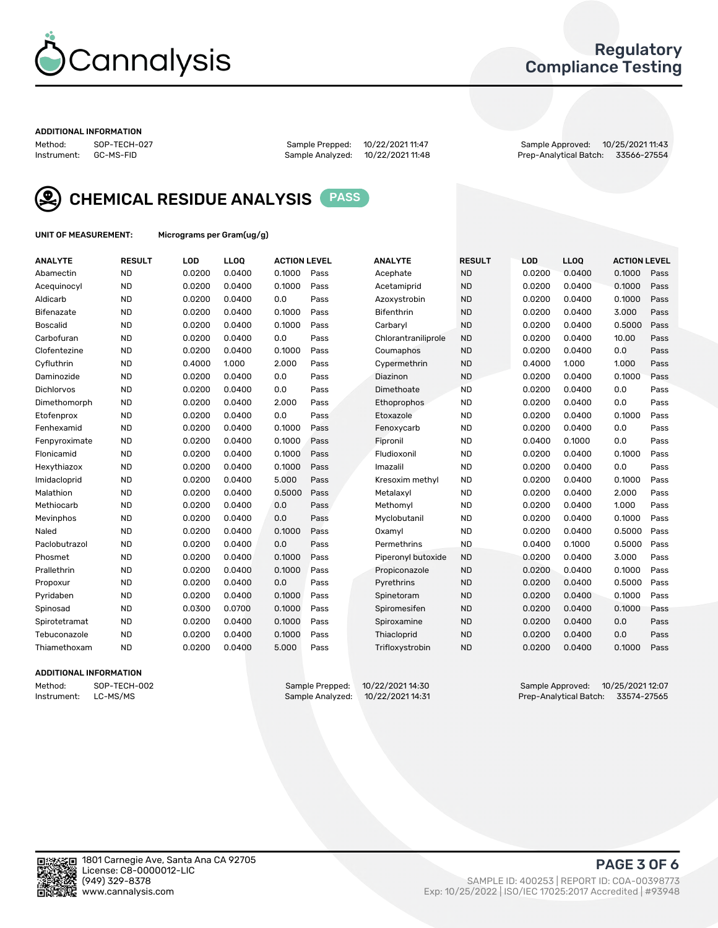

### Regulatory Compliance Testing

#### ADDITIONAL INFORMATION

Method: SOP-TECH-027 Sample Prepped: 10/22/2021 11:47 Sample Approved: 10/25/2021 11:43 Prep-Analytical Batch: 33566-27554



CHEMICAL RESIDUE ANALYSIS PASS

UNIT OF MEASUREMENT: Micrograms per Gram(ug/g)

| <b>ANALYTE</b>    | <b>RESULT</b> | LOD    | LL <sub>OO</sub> | <b>ACTION LEVEL</b> |      | <b>ANALYTE</b>      | <b>RESULT</b> | LOD    | <b>LLOQ</b> | <b>ACTION LEVEL</b> |      |
|-------------------|---------------|--------|------------------|---------------------|------|---------------------|---------------|--------|-------------|---------------------|------|
| Abamectin         | <b>ND</b>     | 0.0200 | 0.0400           | 0.1000              | Pass | Acephate            | <b>ND</b>     | 0.0200 | 0.0400      | 0.1000              | Pass |
| Acequinocyl       | <b>ND</b>     | 0.0200 | 0.0400           | 0.1000              | Pass | Acetamiprid         | <b>ND</b>     | 0.0200 | 0.0400      | 0.1000              | Pass |
| Aldicarb          | <b>ND</b>     | 0.0200 | 0.0400           | 0.0                 | Pass | Azoxystrobin        | <b>ND</b>     | 0.0200 | 0.0400      | 0.1000              | Pass |
| Bifenazate        | <b>ND</b>     | 0.0200 | 0.0400           | 0.1000              | Pass | <b>Bifenthrin</b>   | <b>ND</b>     | 0.0200 | 0.0400      | 3.000               | Pass |
| <b>Boscalid</b>   | <b>ND</b>     | 0.0200 | 0.0400           | 0.1000              | Pass | Carbarvl            | <b>ND</b>     | 0.0200 | 0.0400      | 0.5000              | Pass |
| Carbofuran        | <b>ND</b>     | 0.0200 | 0.0400           | 0.0                 | Pass | Chlorantraniliprole | <b>ND</b>     | 0.0200 | 0.0400      | 10.00               | Pass |
| Clofentezine      | <b>ND</b>     | 0.0200 | 0.0400           | 0.1000              | Pass | Coumaphos           | <b>ND</b>     | 0.0200 | 0.0400      | 0.0                 | Pass |
| Cyfluthrin        | <b>ND</b>     | 0.4000 | 1.000            | 2.000               | Pass | Cypermethrin        | <b>ND</b>     | 0.4000 | 1.000       | 1.000               | Pass |
| Daminozide        | <b>ND</b>     | 0.0200 | 0.0400           | 0.0                 | Pass | Diazinon            | <b>ND</b>     | 0.0200 | 0.0400      | 0.1000              | Pass |
| <b>Dichlorvos</b> | <b>ND</b>     | 0.0200 | 0.0400           | 0.0                 | Pass | Dimethoate          | <b>ND</b>     | 0.0200 | 0.0400      | 0.0                 | Pass |
| Dimethomorph      | <b>ND</b>     | 0.0200 | 0.0400           | 2.000               | Pass | <b>Ethoprophos</b>  | <b>ND</b>     | 0.0200 | 0.0400      | 0.0                 | Pass |
| Etofenprox        | <b>ND</b>     | 0.0200 | 0.0400           | 0.0                 | Pass | Etoxazole           | <b>ND</b>     | 0.0200 | 0.0400      | 0.1000              | Pass |
| Fenhexamid        | <b>ND</b>     | 0.0200 | 0.0400           | 0.1000              | Pass | Fenoxycarb          | <b>ND</b>     | 0.0200 | 0.0400      | 0.0                 | Pass |
| Fenpyroximate     | <b>ND</b>     | 0.0200 | 0.0400           | 0.1000              | Pass | Fipronil            | <b>ND</b>     | 0.0400 | 0.1000      | 0.0                 | Pass |
| Flonicamid        | <b>ND</b>     | 0.0200 | 0.0400           | 0.1000              | Pass | Fludioxonil         | <b>ND</b>     | 0.0200 | 0.0400      | 0.1000              | Pass |
| Hexythiazox       | <b>ND</b>     | 0.0200 | 0.0400           | 0.1000              | Pass | Imazalil            | <b>ND</b>     | 0.0200 | 0.0400      | 0.0                 | Pass |
| Imidacloprid      | <b>ND</b>     | 0.0200 | 0.0400           | 5.000               | Pass | Kresoxim methyl     | <b>ND</b>     | 0.0200 | 0.0400      | 0.1000              | Pass |
| Malathion         | <b>ND</b>     | 0.0200 | 0.0400           | 0.5000              | Pass | Metalaxvl           | <b>ND</b>     | 0.0200 | 0.0400      | 2.000               | Pass |
| Methiocarb        | <b>ND</b>     | 0.0200 | 0.0400           | 0.0                 | Pass | Methomyl            | <b>ND</b>     | 0.0200 | 0.0400      | 1.000               | Pass |
| Mevinphos         | <b>ND</b>     | 0.0200 | 0.0400           | 0.0                 | Pass | Myclobutanil        | <b>ND</b>     | 0.0200 | 0.0400      | 0.1000              | Pass |
| Naled             | <b>ND</b>     | 0.0200 | 0.0400           | 0.1000              | Pass | Oxamyl              | <b>ND</b>     | 0.0200 | 0.0400      | 0.5000              | Pass |
| Paclobutrazol     | <b>ND</b>     | 0.0200 | 0.0400           | 0.0                 | Pass | Permethrins         | <b>ND</b>     | 0.0400 | 0.1000      | 0.5000              | Pass |
| Phosmet           | <b>ND</b>     | 0.0200 | 0.0400           | 0.1000              | Pass | Piperonyl butoxide  | <b>ND</b>     | 0.0200 | 0.0400      | 3.000               | Pass |
| Prallethrin       | <b>ND</b>     | 0.0200 | 0.0400           | 0.1000              | Pass | Propiconazole       | <b>ND</b>     | 0.0200 | 0.0400      | 0.1000              | Pass |
| Propoxur          | <b>ND</b>     | 0.0200 | 0.0400           | 0.0                 | Pass | Pyrethrins          | <b>ND</b>     | 0.0200 | 0.0400      | 0.5000              | Pass |
| Pyridaben         | <b>ND</b>     | 0.0200 | 0.0400           | 0.1000              | Pass | Spinetoram          | <b>ND</b>     | 0.0200 | 0.0400      | 0.1000              | Pass |
| Spinosad          | <b>ND</b>     | 0.0300 | 0.0700           | 0.1000              | Pass | Spiromesifen        | <b>ND</b>     | 0.0200 | 0.0400      | 0.1000              | Pass |
| Spirotetramat     | <b>ND</b>     | 0.0200 | 0.0400           | 0.1000              | Pass | Spiroxamine         | <b>ND</b>     | 0.0200 | 0.0400      | 0.0                 | Pass |
| Tebuconazole      | <b>ND</b>     | 0.0200 | 0.0400           | 0.1000              | Pass | Thiacloprid         | <b>ND</b>     | 0.0200 | 0.0400      | 0.0                 | Pass |
| Thiamethoxam      | <b>ND</b>     | 0.0200 | 0.0400           | 5.000               | Pass | Trifloxystrobin     | <b>ND</b>     | 0.0200 | 0.0400      | 0.1000              | Pass |

### ADDITIONAL INFORMATION

Method: SOP-TECH-002 Sample Prepped: 10/22/2021 14:30 Sample Approved: 10/25/2021 12:07 Prep-Analytical Batch: 33574-27565

PAGE 3 OF 6

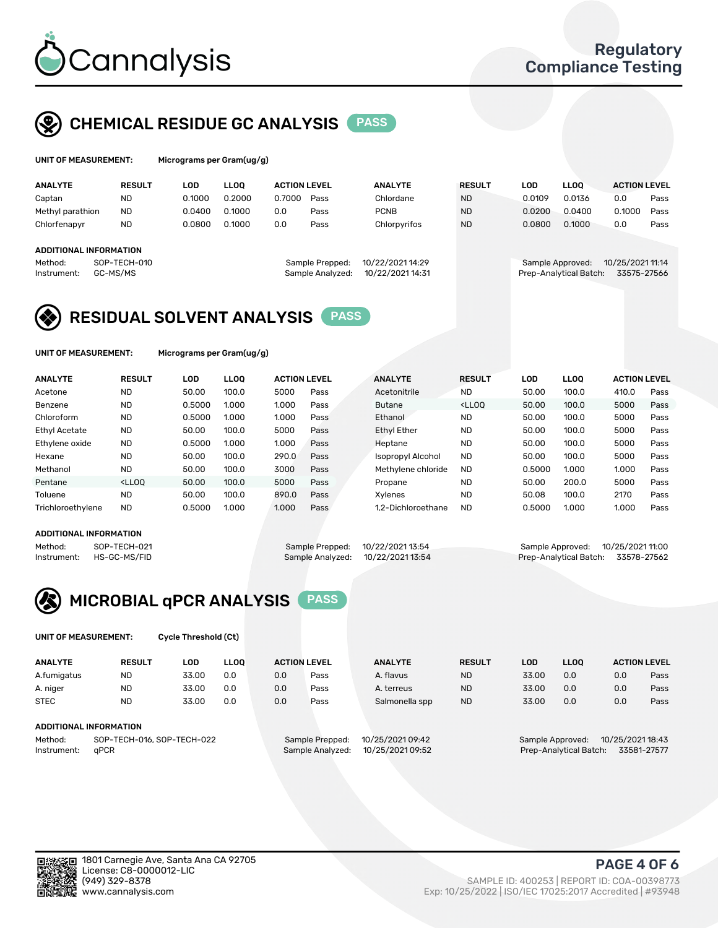

### CHEMICAL RESIDUE GC ANALYSIS PASS

| UNIT OF MEASUREMENT: |               | Micrograms per Gram(ug/g) |      |                     |                |               |     |      |                     |
|----------------------|---------------|---------------------------|------|---------------------|----------------|---------------|-----|------|---------------------|
| <b>ANALYTE</b>       | <b>RESULT</b> | LOD.                      | LOO. | <b>ACTION LEVEL</b> | <b>ANALYTE</b> | <b>RESULT</b> | LOD | LLOO | <b>ACTION LEVEL</b> |

| .                      |              |        |        |        |                  |                  |           |        |                        |                  |      |
|------------------------|--------------|--------|--------|--------|------------------|------------------|-----------|--------|------------------------|------------------|------|
| Captan                 | <b>ND</b>    | 0.1000 | 0.2000 | 0.7000 | Pass             | Chlordane        | <b>ND</b> | 0.0109 | 0.0136                 | 0.0              | Pass |
| Methyl parathion       | <b>ND</b>    | 0.0400 | 0.1000 | 0.0    | Pass             | <b>PCNB</b>      | <b>ND</b> | 0.0200 | 0.0400                 | 0.1000           | Pass |
| Chlorfenapyr           | <b>ND</b>    | 0.0800 | 0.1000 | 0.0    | Pass             | Chlorpyrifos     | <b>ND</b> | 0.0800 | 0.1000                 | 0.0              | Pass |
|                        |              |        |        |        |                  |                  |           |        |                        |                  |      |
| ADDITIONAL INFORMATION |              |        |        |        |                  |                  |           |        |                        |                  |      |
| Method:                | SOP-TECH-010 |        |        |        | Sample Prepped:  | 10/22/2021 14:29 |           |        | Sample Approved:       | 10/25/2021 11:14 |      |
| Instrument:            | GC-MS/MS     |        |        |        | Sample Analyzed: | 10/22/2021 14:31 |           |        | Prep-Analytical Batch: | 33575-27566      |      |
|                        |              |        |        |        |                  |                  |           |        |                        |                  |      |

### RESIDUAL SOLVENT ANALYSIS PASS

UNIT OF MEASUREMENT: Micrograms per Gram(ug/g)

| <b>ANALYTE</b>    | <b>RESULT</b>                                                                                                                                                       | LOD    | <b>LLOO</b> | <b>ACTION LEVEL</b> |      | <b>ANALYTE</b>     | <b>RESULT</b>                                                               | <b>LOD</b> | <b>LLOO</b> | <b>ACTION LEVEL</b> |      |
|-------------------|---------------------------------------------------------------------------------------------------------------------------------------------------------------------|--------|-------------|---------------------|------|--------------------|-----------------------------------------------------------------------------|------------|-------------|---------------------|------|
| Acetone           | <b>ND</b>                                                                                                                                                           | 50.00  | 100.0       | 5000                | Pass | Acetonitrile       | <b>ND</b>                                                                   | 50.00      | 100.0       | 410.0               | Pass |
| Benzene           | <b>ND</b>                                                                                                                                                           | 0.5000 | 1.000       | 1.000               | Pass | <b>Butane</b>      | <lloo< td=""><td>50.00</td><td>100.0</td><td>5000</td><td>Pass</td></lloo<> | 50.00      | 100.0       | 5000                | Pass |
| Chloroform        | <b>ND</b>                                                                                                                                                           | 0.5000 | 1.000       | 1.000               | Pass | Ethanol            | <b>ND</b>                                                                   | 50.00      | 100.0       | 5000                | Pass |
| Ethyl Acetate     | <b>ND</b>                                                                                                                                                           | 50.00  | 100.0       | 5000                | Pass | Ethyl Ether        | <b>ND</b>                                                                   | 50.00      | 100.0       | 5000                | Pass |
| Ethylene oxide    | <b>ND</b>                                                                                                                                                           | 0.5000 | 1.000       | 1.000               | Pass | Heptane            | <b>ND</b>                                                                   | 50.00      | 100.0       | 5000                | Pass |
| Hexane            | <b>ND</b>                                                                                                                                                           | 50.00  | 100.0       | 290.0               | Pass | Isopropyl Alcohol  | <b>ND</b>                                                                   | 50.00      | 100.0       | 5000                | Pass |
| Methanol          | <b>ND</b>                                                                                                                                                           | 50.00  | 100.0       | 3000                | Pass | Methylene chloride | <b>ND</b>                                                                   | 0.5000     | 1.000       | 1.000               | Pass |
| Pentane           | <lloo< td=""><td>50.00</td><td>100.0</td><td>5000</td><td>Pass</td><td>Propane</td><td><b>ND</b></td><td>50.00</td><td>200.0</td><td>5000</td><td>Pass</td></lloo<> | 50.00  | 100.0       | 5000                | Pass | Propane            | <b>ND</b>                                                                   | 50.00      | 200.0       | 5000                | Pass |
| Toluene           | <b>ND</b>                                                                                                                                                           | 50.00  | 100.0       | 890.0               | Pass | Xvlenes            | <b>ND</b>                                                                   | 50.08      | 100.0       | 2170                | Pass |
| Trichloroethylene | <b>ND</b>                                                                                                                                                           | 0.5000 | 1.000       | 1.000               | Pass | 1.2-Dichloroethane | <b>ND</b>                                                                   | 0.5000     | 1.000       | 1.000               | Pass |
|                   |                                                                                                                                                                     |        |             |                     |      |                    |                                                                             |            |             |                     |      |

### ADDITIONAL INFORMATION

|             | ADDITIONAL INFORMATION |                                   |                                    |  |
|-------------|------------------------|-----------------------------------|------------------------------------|--|
| Method:     | SOP-TECH-021           | Sample Prepped: 10/22/2021 13:54  | Sample Approved: 10/25/2021 11:00  |  |
| Instrument: | HS-GC-MS/FID           | Sample Analyzed: 10/22/2021 13:54 | Prep-Analytical Batch: 33578-27562 |  |



UNIT OF MEASUREMENT: Cycle Threshold (Ct)

| <b>ANALYTE</b> | <b>RESULT</b>              | LOD   | <b>LLOO</b> |                 | <b>ACTION LEVEL</b> | <b>ANALYTE</b>   | <b>RESULT</b>                        | LOD                                   | <b>LLOO</b> |     | <b>ACTION LEVEL</b> |  |
|----------------|----------------------------|-------|-------------|-----------------|---------------------|------------------|--------------------------------------|---------------------------------------|-------------|-----|---------------------|--|
| A.fumigatus    | ND                         | 33.00 | 0.0         | 0.0             | Pass                | A. flavus        | <b>ND</b>                            | 33.00                                 | 0.0         | 0.0 | Pass                |  |
| A. niger       | <b>ND</b>                  | 33.00 | 0.0         | 0.0             | Pass                | A. terreus       | <b>ND</b>                            | 33.00                                 | 0.0         | 0.0 | Pass                |  |
| <b>STEC</b>    | <b>ND</b>                  | 33.00 | 0.0         | 0.0             | Pass                | Salmonella spp   | <b>ND</b>                            | 33.00                                 | 0.0         | 0.0 | Pass                |  |
|                | ADDITIONAL INFORMATION     |       |             |                 |                     |                  |                                      |                                       |             |     |                     |  |
| Method:        | SOP-TECH-016, SOP-TECH-022 |       |             | Sample Prepped: | 10/25/2021 09:42    |                  | 10/25/2021 18:43<br>Sample Approved: |                                       |             |     |                     |  |
| Instrument:    | aPCR                       |       |             |                 | Sample Analyzed:    | 10/25/2021 09:52 |                                      | 33581-27577<br>Prep-Analytical Batch: |             |     |                     |  |

PAGE 4 OF 6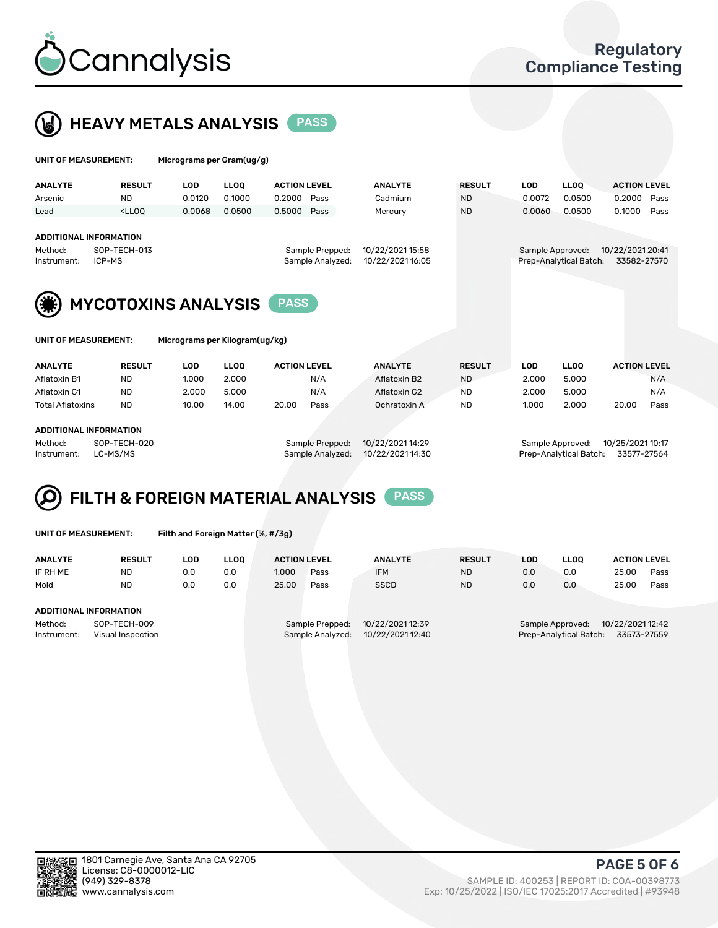



| UNIT OF MEASUREMENT:                                   |                                                                                                                                                                         | Micrograms per Gram(ug/g)  |             |                     |                  |                                      |            |                        |                     |      |  |
|--------------------------------------------------------|-------------------------------------------------------------------------------------------------------------------------------------------------------------------------|----------------------------|-------------|---------------------|------------------|--------------------------------------|------------|------------------------|---------------------|------|--|
| <b>ANALYTE</b>                                         | <b>RESULT</b>                                                                                                                                                           | <b>LOD</b>                 | <b>LLOO</b> | <b>ACTION LEVEL</b> | <b>ANALYTE</b>   | <b>RESULT</b>                        | <b>LOD</b> | <b>LLOO</b>            | <b>ACTION LEVEL</b> |      |  |
| Arsenic                                                | <b>ND</b>                                                                                                                                                               | 0.0120                     | 0.1000      | 0.2000<br>Pass      | Cadmium          | <b>ND</b>                            | 0.0072     | 0.0500                 | 0.2000              | Pass |  |
| Lead                                                   | <lloo< td=""><td>0.0068</td><td>0.0500</td><td>0.5000<br/>Pass</td><td>Mercury</td><td><b>ND</b></td><td>0.0060</td><td>0.0500</td><td>0.1000</td><td>Pass</td></lloo<> | 0.0068                     | 0.0500      | 0.5000<br>Pass      | Mercury          | <b>ND</b>                            | 0.0060     | 0.0500                 | 0.1000              | Pass |  |
|                                                        |                                                                                                                                                                         |                            |             |                     |                  |                                      |            |                        |                     |      |  |
| <b>ADDITIONAL INFORMATION</b>                          |                                                                                                                                                                         |                            |             |                     |                  |                                      |            |                        |                     |      |  |
| Method:                                                | SOP-TECH-013                                                                                                                                                            |                            |             | Sample Prepped:     |                  | 10/22/2021 20:41<br>Sample Approved: |            |                        |                     |      |  |
| ICP-MS<br>Instrument:                                  |                                                                                                                                                                         |                            |             | Sample Analyzed:    | 10/22/2021 16:05 |                                      |            | Prep-Analytical Batch: | 33582-27570         |      |  |
|                                                        |                                                                                                                                                                         |                            |             |                     |                  |                                      |            |                        |                     |      |  |
|                                                        |                                                                                                                                                                         |                            |             |                     |                  |                                      |            |                        |                     |      |  |
|                                                        |                                                                                                                                                                         | <b>MYCOTOXINS ANALYSIS</b> |             |                     |                  |                                      |            |                        |                     |      |  |
|                                                        |                                                                                                                                                                         |                            |             |                     |                  |                                      |            |                        |                     |      |  |
|                                                        |                                                                                                                                                                         |                            |             |                     |                  |                                      |            |                        |                     |      |  |
| UNIT OF MEASUREMENT:<br>Micrograms per Kilogram(ug/kg) |                                                                                                                                                                         |                            |             |                     |                  |                                      |            |                        |                     |      |  |
|                                                        |                                                                                                                                                                         |                            |             |                     |                  |                                      |            |                        |                     |      |  |
| <b>ANALYTE</b>                                         | <b>RESULT</b>                                                                                                                                                           | <b>LOD</b>                 | <b>LLOO</b> | <b>ACTION LEVEL</b> | <b>ANALYTE</b>   | <b>RESULT</b>                        | <b>LOD</b> | <b>LLOQ</b>            | <b>ACTION LEVEL</b> |      |  |
| Aflatoxin B1                                           | <b>ND</b>                                                                                                                                                               | 1.000                      | 2.000       | N/A                 | Aflatoxin B2     | <b>ND</b>                            | 2.000      | 5.000                  |                     | N/A  |  |
| Aflatoxin G1                                           | <b>ND</b>                                                                                                                                                               | 2.000                      | 5.000       | N/A                 | Aflatoxin G2     | <b>ND</b>                            | 2.000      | 5.000                  |                     | N/A  |  |
| <b>Total Aflatoxins</b>                                | ND.                                                                                                                                                                     | 10.00                      | 14.00       | 20.00<br>Pass       | Ochratoxin A     | <b>ND</b>                            | 1.000      | 2.000                  | 20.00               | Pass |  |

#### ADDITIONAL INFORMATION

Method: SOP-TECH-020 Sample Prepped: 10/22/2021 14:29 Sample Approved: 10/25/2021 10:17 Instrument: LC-MS/MS Sample Analyzed: 10/22/2021 14:30 Prep-Analytical Batch: 33577-27564

## FILTH & FOREIGN MATERIAL ANALYSIS PASS

UNIT OF MEASUREMENT: Filth and Foreign Matter (%, #/3g)

| <b>ANALYTE</b>                                              | <b>RESULT</b> | LOD | <b>LLOO</b> | <b>ACTION LEVEL</b>                                                         |      | <b>ANALYTE</b> | <b>RESULT</b> | LOD                                                                        | <b>LLOO</b> | <b>ACTION LEVEL</b> |      |
|-------------------------------------------------------------|---------------|-----|-------------|-----------------------------------------------------------------------------|------|----------------|---------------|----------------------------------------------------------------------------|-------------|---------------------|------|
| IF RH ME                                                    | <b>ND</b>     | 0.0 | 0.0         | 1.000                                                                       | Pass | <b>IFM</b>     | <b>ND</b>     | 0.0                                                                        | 0.0         | 25.00               | Pass |
| Mold                                                        | <b>ND</b>     | 0.0 | 0.0         | 25.00                                                                       | Pass | <b>SSCD</b>    | <b>ND</b>     | 0.0                                                                        | 0.0         | 25.00               | Pass |
| ADDITIONAL INFORMATION                                      |               |     |             |                                                                             |      |                |               |                                                                            |             |                     |      |
| Method:<br>SOP-TECH-009<br>Instrument:<br>Visual Inspection |               |     |             | 10/22/2021 12:39<br>Sample Prepped:<br>10/22/2021 12:40<br>Sample Analyzed: |      |                |               | 10/22/2021 12:42<br>Sample Approved:<br>Prep-Analytical Batch: 33573-27559 |             |                     |      |



PAGE 5 OF 6